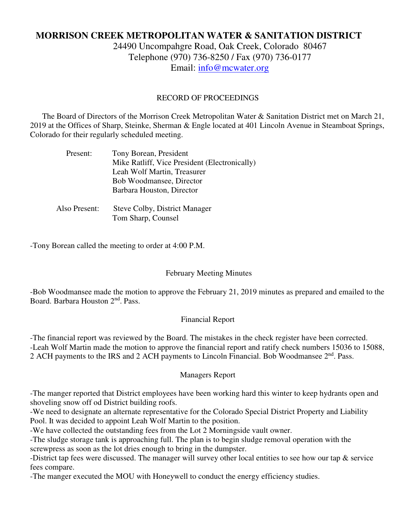# **MORRISON CREEK METROPOLITAN WATER & SANITATION DISTRICT**

24490 Uncompahgre Road, Oak Creek, Colorado 80467 Telephone (970) 736-8250 / Fax (970) 736-0177 Email: info@mcwater.org

### RECORD OF PROCEEDINGS

 The Board of Directors of the Morrison Creek Metropolitan Water & Sanitation District met on March 21, 2019 at the Offices of Sharp, Steinke, Sherman & Engle located at 401 Lincoln Avenue in Steamboat Springs, Colorado for their regularly scheduled meeting.

| Present:      | Tony Borean, President                        |
|---------------|-----------------------------------------------|
|               | Mike Ratliff, Vice President (Electronically) |
|               | Leah Wolf Martin, Treasurer                   |
|               | Bob Woodmansee, Director                      |
|               | Barbara Houston, Director                     |
|               |                                               |
| Also Present: | <b>Steve Colby, District Manager</b>          |
|               | Tom Sharp, Counsel                            |

-Tony Borean called the meeting to order at 4:00 P.M.

#### February Meeting Minutes

-Bob Woodmansee made the motion to approve the February 21, 2019 minutes as prepared and emailed to the Board. Barbara Houston 2<sup>nd</sup>. Pass.

#### Financial Report

-The financial report was reviewed by the Board. The mistakes in the check register have been corrected. -Leah Wolf Martin made the motion to approve the financial report and ratify check numbers 15036 to 15088, 2 ACH payments to the IRS and 2 ACH payments to Lincoln Financial. Bob Woodmansee 2<sup>nd</sup>. Pass.

#### Managers Report

-The manger reported that District employees have been working hard this winter to keep hydrants open and shoveling snow off od District building roofs.

-We need to designate an alternate representative for the Colorado Special District Property and Liability Pool. It was decided to appoint Leah Wolf Martin to the position.

-We have collected the outstanding fees from the Lot 2 Morningside vault owner.

-The sludge storage tank is approaching full. The plan is to begin sludge removal operation with the screwpress as soon as the lot dries enough to bring in the dumpster.

-District tap fees were discussed. The manager will survey other local entities to see how our tap & service fees compare.

-The manger executed the MOU with Honeywell to conduct the energy efficiency studies.